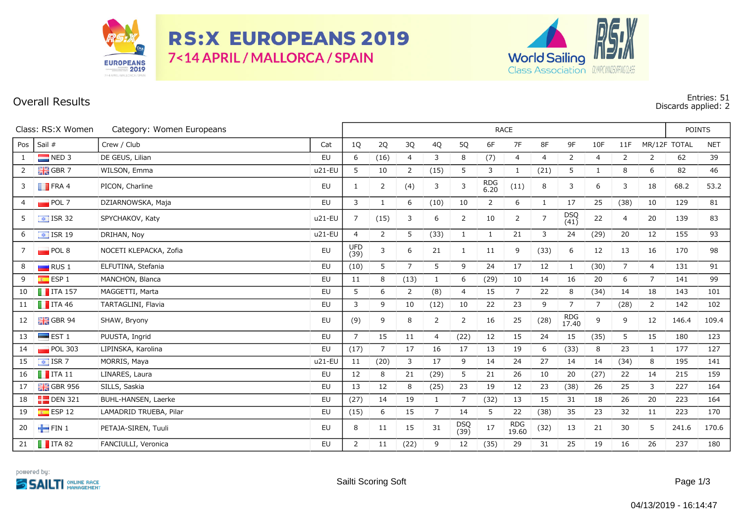

**RS:X EUROPEANS 2019** 7<14 APRIL / MALLORCA / SPAIN



## **Overall Results Entries: 51 Discards applied: 2**

| Class: RS:X Women<br>Category: Women Europeans |                            |                        |           | RACE               |                |                |                |                |                    |                     |                |                     |                |                |                | <b>POINTS</b> |            |
|------------------------------------------------|----------------------------|------------------------|-----------|--------------------|----------------|----------------|----------------|----------------|--------------------|---------------------|----------------|---------------------|----------------|----------------|----------------|---------------|------------|
| Pos                                            | Sail #                     | Crew / Club            | Cat       | 1Q                 | 2Q             | 3Q             | 4Q             | 5Q             | 6F                 | 7F                  | 8F             | 9F                  | 10F            | 11F            |                | MR/12F TOTAL  | <b>NET</b> |
| 1                                              | $NED$ 3                    | DE GEUS, Lilian        | <b>EU</b> | 6                  | (16)           | $\overline{4}$ | 3              | 8              | (7)                | 4                   | $\overline{4}$ | $\overline{2}$      | $\overline{4}$ | $\overline{2}$ | 2              | 62            | 39         |
| $\overline{2}$                                 | $\frac{1}{2}$ GBR 7        | WILSON, Emma           | u21-EU    | 5                  | 10             | $\overline{2}$ | (15)           | 5              | 3                  | $\mathbf{1}$        | (21)           | 5                   | 1              | 8              | 6              | 82            | 46         |
| 3                                              | $\blacksquare$ FRA 4       | PICON, Charline        | EU        | -1                 | $\overline{2}$ | (4)            | 3              | 3              | <b>RDG</b><br>6.20 | (11)                | 8              | 3                   | 6              | 3              | 18             | 68.2          | 53.2       |
| 4                                              | POL7                       | DZIARNOWSKA, Maja      | <b>EU</b> | 3                  | 1              | 6              | (10)           | 10             | $\overline{2}$     | 6                   | $\mathbf{1}$   | 17                  | 25             | (38)           | 10             | 129           | 81         |
| 5                                              | $\equiv$ ISR 32            | SPYCHAKOV, Katy        | u21-EU    | 7                  | (15)           | 3              | 6              | 2              | 10                 | $\overline{2}$      | $\overline{7}$ | $DSQ$<br>(41)       | 22             | $\overline{4}$ | 20             | 139           | 83         |
| 6                                              | $\sqrt{2}$ ISR 19          | DRIHAN, Noy            | u21-EU    | $\overline{4}$     | 2              | 5              | (33)           | 1              | 1                  | 21                  | 3              | 24                  | (29)           | 20             | 12             | 155           | 93         |
| $7^{\circ}$                                    | POL8                       | NOCETI KLEPACKA, Zofia | EU        | <b>UFD</b><br>(39) | 3              | 6              | 21             | 1              | 11                 | 9                   | (33)           | 6                   | 12             | 13             | 16             | 170           | 98         |
| 8                                              | $\Box$ RUS 1               | ELFUTINA, Stefania     | <b>EU</b> | (10)               | 5              | $\overline{7}$ | 5              | 9              | 24                 | 17                  | 12             | $\mathbf{1}$        | (30)           | $7^{\circ}$    | $\overline{4}$ | 131           | 91         |
| 9                                              | $\overline{\bullet}$ ESP 1 | MANCHON, Blanca        | <b>EU</b> | 11                 | 8              | (13)           | $\mathbf{1}$   | 6              | (29)               | 10                  | 14             | 16                  | 20             | 6              | $\overline{7}$ | 141           | 99         |
| 10                                             | $\blacksquare$ ITA 157     | MAGGETTI, Marta        | <b>EU</b> | 5                  | 6              | $\overline{2}$ | (8)            | $\overline{4}$ | 15                 | $\overline{7}$      | 22             | 8                   | (34)           | 14             | 18             | 143           | 101        |
| 11                                             | $\blacksquare$ ITA 46      | TARTAGLINI, Flavia     | EU        | 3                  | 9              | 10             | (12)           | 10             | 22                 | 23                  | 9              | $\overline{7}$      | $\overline{7}$ | (28)           | 2              | 142           | 102        |
| 12                                             | $\frac{1}{2}$ GBR 94       | SHAW, Bryony           | EU        | (9)                | 9              | 8              | 2              | 2              | 16                 | 25                  | (28)           | <b>RDG</b><br>17.40 | 9              | 9              | 12             | 146.4         | 109.4      |
| 13                                             | $\blacksquare$ EST 1       | PUUSTA, Ingrid         | EU        | $\overline{7}$     | 15             | 11             | $\overline{4}$ | (22)           | 12                 | 15                  | 24             | 15                  | (35)           | 5              | 15             | 180           | 123        |
| 14                                             | $\blacksquare$ POL 303     | LIPINSKA, Karolina     | <b>EU</b> | (17)               | $\overline{7}$ | 17             | 16             | 17             | 13                 | 19                  | 6              | (33)                | 8              | 23             | $\mathbf{1}$   | 177           | 127        |
| 15                                             | $\sqrt{15}$ ISR 7          | MORRIS, Maya           | $u21-EU$  | 11                 | (20)           | 3              | 17             | 9              | 14                 | 24                  | 27             | 14                  | 14             | (34)           | 8              | 195           | 141        |
| 16                                             | $\blacksquare$ ITA 11      | LINARES, Laura         | EU        | 12                 | 8              | 21             | (29)           | 5              | 21                 | 26                  | 10             | 20                  | (27)           | 22             | 14             | 215           | 159        |
| 17                                             | $\frac{1}{26}$ GBR 956     | SILLS, Saskia          | EU        | 13                 | 12             | 8              | (25)           | 23             | 19                 | 12                  | 23             | (38)                | 26             | 25             | 3              | 227           | 164        |
| 18                                             | $\Box$ DEN 321             | BUHL-HANSEN, Laerke    | EU        | (27)               | 14             | 19             | $\mathbf{1}$   | $7^{\circ}$    | (32)               | 13                  | 15             | 31                  | 18             | 26             | 20             | 223           | 164        |
| 19                                             | $E = ESP 12$               | LAMADRID TRUEBA, Pilar | EU        | (15)               | 6              | 15             | $\overline{7}$ | 14             | 5                  | 22                  | (38)           | 35                  | 23             | 32             | 11             | 223           | 170        |
| 20                                             | $\blacksquare$ FIN 1       | PETAJA-SIREN, Tuuli    | <b>EU</b> | 8                  | 11             | 15             | 31             | DSQ<br>(39)    | 17                 | <b>RDG</b><br>19.60 | (32)           | 13                  | 21             | 30             | 5              | 241.6         | 170.6      |
|                                                | 21 <b>T</b> ITA 82         | FANCIULLI, Veronica    | <b>EU</b> | 2                  | 11             | (22)           | 9              | 12             | (35)               | 29                  | 31             | 25                  | 19             | 16             | 26             | 237           | 180        |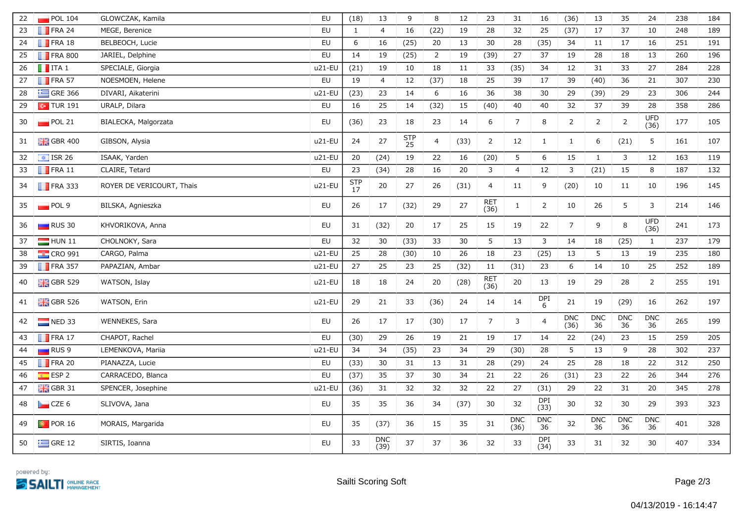| 22 | POL 104                  | GLOWCZAK, Kamila          | EU        | (18)         | 13                 | 9         | 8              | 12   | 23             | 31                 | 16                 | (36)               | 13               | 35                   | 24                 | 238 | 184 |
|----|--------------------------|---------------------------|-----------|--------------|--------------------|-----------|----------------|------|----------------|--------------------|--------------------|--------------------|------------------|----------------------|--------------------|-----|-----|
| 23 | $\blacksquare$ FRA 24    | MEGE, Berenice            | <b>EU</b> | $\mathbf{1}$ | $\overline{4}$     | 16        | (22)           | 19   | 28             | 32                 | 25                 | (37)               | 17               | 37                   | 10                 | 248 | 189 |
| 24 | $\blacksquare$ FRA 18    | BELBEOCH, Lucie           | <b>EU</b> | 6            | 16                 | (25)      | 20             | 13   | 30             | 28                 | (35)               | 34                 | 11               | 17                   | 16                 | 251 | 191 |
| 25 | <b>FRA 800</b>           | JARIEL, Delphine          | <b>EU</b> | 14           | 19                 | (25)      | $\overline{2}$ | 19   | (39)           | 27                 | 37                 | 19                 | 28               | 18                   | 13                 | 260 | 196 |
| 26 | $\blacksquare$ ITA 1     | SPECIALE, Giorgia         | u21-EU    | (21)         | 19                 | 10        | 18             | 11   | 33             | (35)               | 34                 | 12                 | 31               | 33                   | 27                 | 284 | 228 |
| 27 | $\blacksquare$ FRA 57    | NOESMOEN, Helene          | <b>EU</b> | 19           | $\overline{4}$     | 12        | (37)           | 18   | 25             | 39                 | 17                 | 39                 | (40)             | 36                   | 21                 | 307 | 230 |
| 28 | $\equiv$ GRE 366         | DIVARI, Aikaterini        | u21-EU    | (23)         | 23                 | 14        | 6              | 16   | 36             | 38                 | 30                 | 29                 | (39)             | 29                   | 23                 | 306 | 244 |
| 29 | $\sim$ TUR 191           | URALP, Dilara             | EU        | 16           | 25                 | 14        | (32)           | 15   | (40)           | 40                 | 40                 | 32                 | 37               | 39                   | 28                 | 358 | 286 |
| 30 | $\blacksquare$ POL 21    | BIALECKA, Malgorzata      | EU        | (36)         | 23                 | 18        | 23             | 14   | 6              | $\overline{7}$     | 8                  | $\overline{2}$     | $\overline{2}$   | $\overline{2}$       | <b>UFD</b><br>(36) | 177 | 105 |
| 31 | $\frac{1}{2}$ GBR 400    | GIBSON, Alysia            | u21-EU    | 24           | 27                 | STP<br>25 | $\overline{4}$ | (33) | $\overline{2}$ | 12                 | $\mathbf{1}$       | $\mathbf{1}$       | 6                | (21)                 | 5                  | 161 | 107 |
| 32 | $\sqrt{15}$ ISR 26       | ISAAK, Yarden             | u21-EU    | 20           | (24)               | 19        | 22             | 16   | (20)           | 5                  | 6                  | 15                 | $\mathbf{1}$     | 3                    | 12                 | 163 | 119 |
| 33 | $\blacksquare$ FRA 11    | CLAIRE, Tetard            | EU        | 23           | (34)               | 28        | 16             | 20   | 3              | $\overline{4}$     | 12                 | 3                  | (21)             | 15                   | 8                  | 187 | 132 |
| 34 | $\blacksquare$ FRA 333   | ROYER DE VERICOURT, Thais | u21-EU    | STP<br>17    | $20\,$             | 27        | 26             | (31) | 4              | 11                 | 9                  | (20)               | 10               | 11                   | 10                 | 196 | 145 |
| 35 | $\Box$ POL 9             | BILSKA, Agnieszka         | EU        | 26           | 17                 | (32)      | 29             | 27   | RET<br>(36)    | $\mathbf{1}$       | $\overline{2}$     | 10                 | 26               | 5                    | 3                  | 214 | 146 |
| 36 | $\Box$ RUS 30            | KHVORIKOVA, Anna          | EU        | 31           | (32)               | 20        | 17             | 25   | 15             | 19                 | 22                 | $\overline{7}$     | 9                | 8                    | <b>UFD</b><br>(36) | 241 | 173 |
| 37 | $HUN$ 11                 | CHOLNOKY, Sara            | EU        | 32           | 30                 | (33)      | 33             | 30   | 5              | 13                 | 3                  | 14                 | 18               | (25)                 | $\mathbf{1}$       | 237 | 179 |
| 38 | $\frac{1}{2}$ CRO 991    | CARGO, Palma              | u21-EU    | 25           | 28                 | (30)      | 10             | 26   | 18             | 23                 | (25)               | 13                 | 5                | 13                   | 19                 | 235 | 180 |
| 39 | $\blacksquare$ FRA 357   | PAPAZIAN, Ambar           | u21-EU    | 27           | 25                 | 23        | 25             | (32) | 11             | (31)               | 23                 | 6                  | 14               | 10                   | 25                 | 252 | 189 |
| 40 | $\frac{1}{200}$ GBR 529  | WATSON, Islay             | u21-EU    | 18           | 18                 | 24        | 20             | (28) | RET<br>(36)    | $20\,$             | 13                 | 19                 | 29               | 28                   | $\overline{2}$     | 255 | 191 |
| 41 | $\frac{12}{100}$ GBR 526 | WATSON, Erin              | u21-EU    | 29           | 21                 | 33        | (36)           | 24   | 14             | 14                 | DPI<br>6           | 21                 | 19               | (29)                 | 16                 | 262 | 197 |
| 42 | $\blacksquare$ NED 33    | WENNEKES, Sara            | EU        | 26           | 17                 | 17        | (30)           | 17   | $\overline{7}$ | 3                  | $\overline{a}$     | <b>DNC</b><br>(36) | <b>DNC</b><br>36 | <b>DNC</b><br>36     | <b>DNC</b><br>36   | 265 | 199 |
| 43 | $\blacksquare$ FRA 17    | CHAPOT, Rachel            | EU        | (30)         | 29                 | 26        | 19             | 21   | 19             | 17                 | 14                 | 22                 | (24)             | 23                   | 15                 | 259 | 205 |
| 44 | RUS 9                    | LEMENKOVA, Mariia         | u21-EU    | 34           | 34                 | (35)      | 23             | 34   | 29             | (30)               | 28                 | 5                  | 13               | 9                    | 28                 | 302 | 237 |
| 45 | $\blacksquare$ FRA 20    | PIANAZZA, Lucie           | <b>EU</b> | (33)         | 30                 | 31        | 13             | 31   | 28             | (29)               | 24                 | 25                 | 28               | 18                   | 22                 | 312 | 250 |
| 46 | ESP <sub>2</sub>         | CARRACEDO, Blanca         | <b>EU</b> | (37)         | 35                 | 37        | 30             | 34   | 21             | 22                 | 26                 | (31)               | 23               | 22                   | 26                 | 344 | 276 |
| 47 | $\frac{1}{26}$ GBR 31    | SPENCER, Josephine        | u21-EU    | (36)         | 31                 | 32        | 32             | 32   | 22             | 27                 | (31)               | 29                 | 22               | 31                   | 20                 | 345 | 278 |
| 48 | CZE 6                    | SLIVOVA, Jana             | EU        | 35           | 35                 | 36        | 34             | (37) | 30             | 32                 | <b>DPI</b><br>(33) | 30                 | 32               | 30                   | 29                 | 393 | 323 |
| 49 | $\boxed{\bullet}$ POR 16 | MORAIS, Margarida         | <b>EU</b> | 35           | (37)               | 36        | 15             | 35   | 31             | <b>DNC</b><br>(36) | <b>DNC</b><br>36   | 32                 | <b>DNC</b><br>36 | $\mathsf{DNC}$<br>36 | <b>DNC</b><br>36   | 401 | 328 |
| 50 | $\equiv$ GRE 12          | SIRTIS, Ioanna            | EU        | 33           | <b>DNC</b><br>(39) | 37        | 37             | 36   | 32             | 33                 | DPI<br>(34)        | 33                 | 31               | 32                   | 30                 | 407 | 334 |